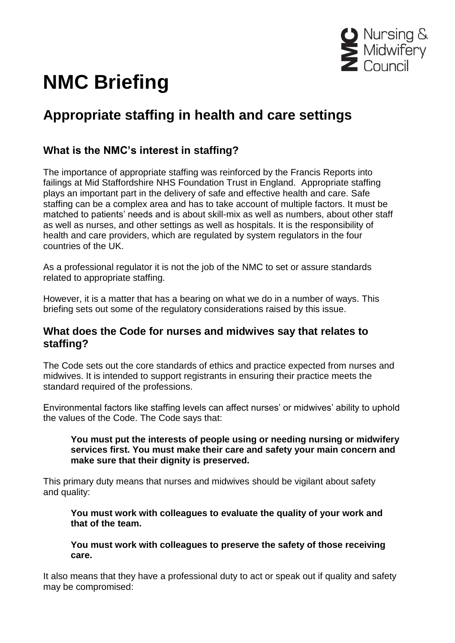

# **NMC Briefing**

# **Appropriate staffing in health and care settings**

# **What is the NMC's interest in staffing?**

The importance of appropriate staffing was reinforced by the Francis Reports into failings at Mid Staffordshire NHS Foundation Trust in England. Appropriate staffing plays an important part in the delivery of safe and effective health and care. Safe staffing can be a complex area and has to take account of multiple factors. It must be matched to patients' needs and is about skill-mix as well as numbers, about other staff as well as nurses, and other settings as well as hospitals. It is the responsibility of health and care providers, which are regulated by system regulators in the four countries of the UK.

As a professional regulator it is not the job of the NMC to set or assure standards related to appropriate staffing.

However, it is a matter that has a bearing on what we do in a number of ways. This briefing sets out some of the regulatory considerations raised by this issue.

# **What does the Code for nurses and midwives say that relates to staffing?**

The Code sets out the core standards of ethics and practice expected from nurses and midwives. It is intended to support registrants in ensuring their practice meets the standard required of the professions.

Environmental factors like staffing levels can affect nurses' or midwives' ability to uphold the values of the Code. The Code says that:

#### **You must put the interests of people using or needing nursing or midwifery services first. You must make their care and safety your main concern and make sure that their dignity is preserved.**

This primary duty means that nurses and midwives should be vigilant about safety and quality:

**You must work with colleagues to evaluate the quality of your work and that of the team.**

**You must work with colleagues to preserve the safety of those receiving care.** 

It also means that they have a professional duty to act or speak out if quality and safety may be compromised: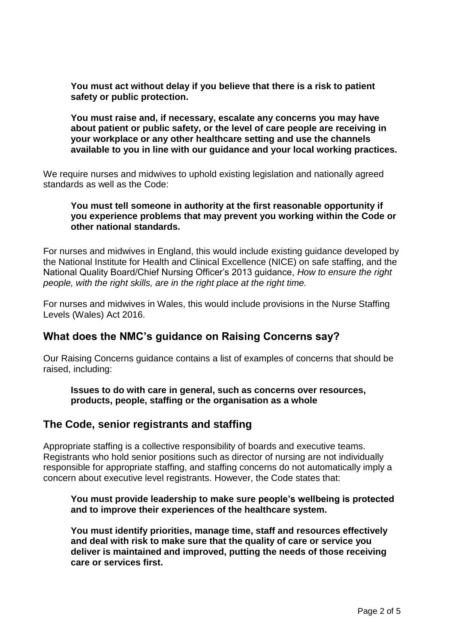**You must act without delay if you believe that there is a risk to patient safety or public protection.** 

**You must raise and, if necessary, escalate any concerns you may have about patient or public safety, or the level of care people are receiving in your workplace or any other healthcare setting and use the channels available to you in line with our guidance and your local working practices.** 

We require nurses and midwives to uphold existing legislation and nationally agreed standards as well as the Code:

#### **You must tell someone in authority at the first reasonable opportunity if you experience problems that may prevent you working within the Code or other national standards.**

For nurses and midwives in England, this would include existing guidance developed by the National Institute for Health and Clinical Excellence (NICE) on safe staffing, and the National Quality Board/Chief Nursing Officer's 2013 guidance, *How to ensure the right people, with the right skills, are in the right place at the right time.*

For nurses and midwives in Wales, this would include provisions in the Nurse Staffing Levels (Wales) Act 2016.

# **What does the NMC's guidance on Raising Concerns say?**

Our Raising Concerns guidance contains a list of examples of concerns that should be raised, including:

**Issues to do with care in general, such as concerns over resources, products, people, staffing or the organisation as a whole**

# **The Code, senior registrants and staffing**

Appropriate staffing is a collective responsibility of boards and executive teams. Registrants who hold senior positions such as director of nursing are not individually responsible for appropriate staffing, and staffing concerns do not automatically imply a concern about executive level registrants. However, the Code states that:

#### **You must provide leadership to make sure people's wellbeing is protected and to improve their experiences of the healthcare system.**

**You must identify priorities, manage time, staff and resources effectively and deal with risk to make sure that the quality of care or service you deliver is maintained and improved, putting the needs of those receiving care or services first.**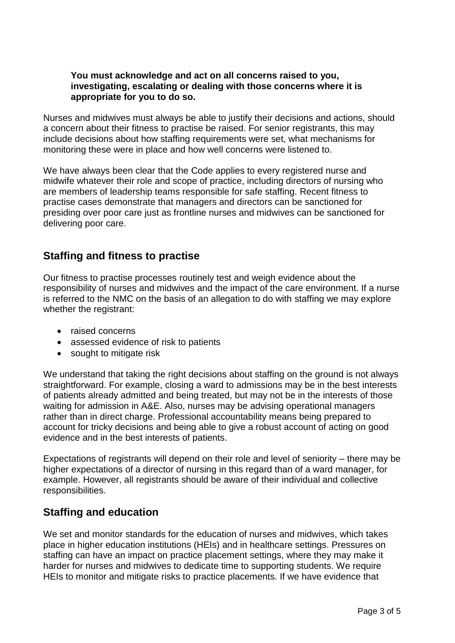#### **You must acknowledge and act on all concerns raised to you, investigating, escalating or dealing with those concerns where it is appropriate for you to do so.**

Nurses and midwives must always be able to justify their decisions and actions, should a concern about their fitness to practise be raised. For senior registrants, this may include decisions about how staffing requirements were set, what mechanisms for monitoring these were in place and how well concerns were listened to.

We have always been clear that the Code applies to every registered nurse and midwife whatever their role and scope of practice, including directors of nursing who are members of leadership teams responsible for safe staffing. Recent fitness to practise cases demonstrate that managers and directors can be sanctioned for presiding over poor care just as frontline nurses and midwives can be sanctioned for delivering poor care.

# **Staffing and fitness to practise**

Our fitness to practise processes routinely test and weigh evidence about the responsibility of nurses and midwives and the impact of the care environment. If a nurse is referred to the NMC on the basis of an allegation to do with staffing we may explore whether the registrant:

- raised concerns
- assessed evidence of risk to patients
- sought to mitigate risk

We understand that taking the right decisions about staffing on the ground is not always straightforward. For example, closing a ward to admissions may be in the best interests of patients already admitted and being treated, but may not be in the interests of those waiting for admission in A&E. Also, nurses may be advising operational managers rather than in direct charge. Professional accountability means being prepared to account for tricky decisions and being able to give a robust account of acting on good evidence and in the best interests of patients.

Expectations of registrants will depend on their role and level of seniority – there may be higher expectations of a director of nursing in this regard than of a ward manager, for example. However, all registrants should be aware of their individual and collective responsibilities.

# **Staffing and education**

We set and monitor standards for the education of nurses and midwives, which takes place in higher education institutions (HEIs) and in healthcare settings. Pressures on staffing can have an impact on practice placement settings, where they may make it harder for nurses and midwives to dedicate time to supporting students. We require HEIs to monitor and mitigate risks to practice placements. If we have evidence that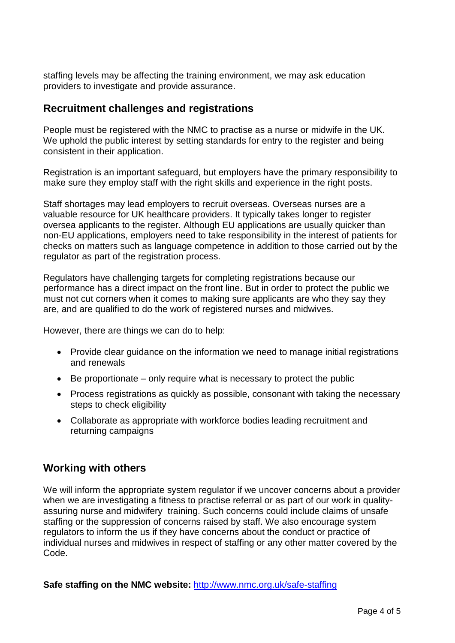staffing levels may be affecting the training environment, we may ask education providers to investigate and provide assurance.

# **Recruitment challenges and registrations**

People must be registered with the NMC to practise as a nurse or midwife in the UK. We uphold the public interest by setting standards for entry to the register and being consistent in their application.

Registration is an important safeguard, but employers have the primary responsibility to make sure they employ staff with the right skills and experience in the right posts.

Staff shortages may lead employers to recruit overseas. Overseas nurses are a valuable resource for UK healthcare providers. It typically takes longer to register oversea applicants to the register. Although EU applications are usually quicker than non-EU applications, employers need to take responsibility in the interest of patients for checks on matters such as language competence in addition to those carried out by the regulator as part of the registration process.

Regulators have challenging targets for completing registrations because our performance has a direct impact on the front line. But in order to protect the public we must not cut corners when it comes to making sure applicants are who they say they are, and are qualified to do the work of registered nurses and midwives.

However, there are things we can do to help:

- Provide clear guidance on the information we need to manage initial registrations and renewals
- $\bullet$  Be proportionate only require what is necessary to protect the public
- Process registrations as quickly as possible, consonant with taking the necessary steps to check eligibility
- Collaborate as appropriate with workforce bodies leading recruitment and returning campaigns

# **Working with others**

We will inform the appropriate system regulator if we uncover concerns about a provider when we are investigating a fitness to practise referral or as part of our work in qualityassuring nurse and midwifery training. Such concerns could include claims of unsafe staffing or the suppression of concerns raised by staff. We also encourage system regulators to inform the us if they have concerns about the conduct or practice of individual nurses and midwives in respect of staffing or any other matter covered by the Code.

**Safe staffing on the NMC website:** <http://www.nmc.org.uk/safe-staffing>